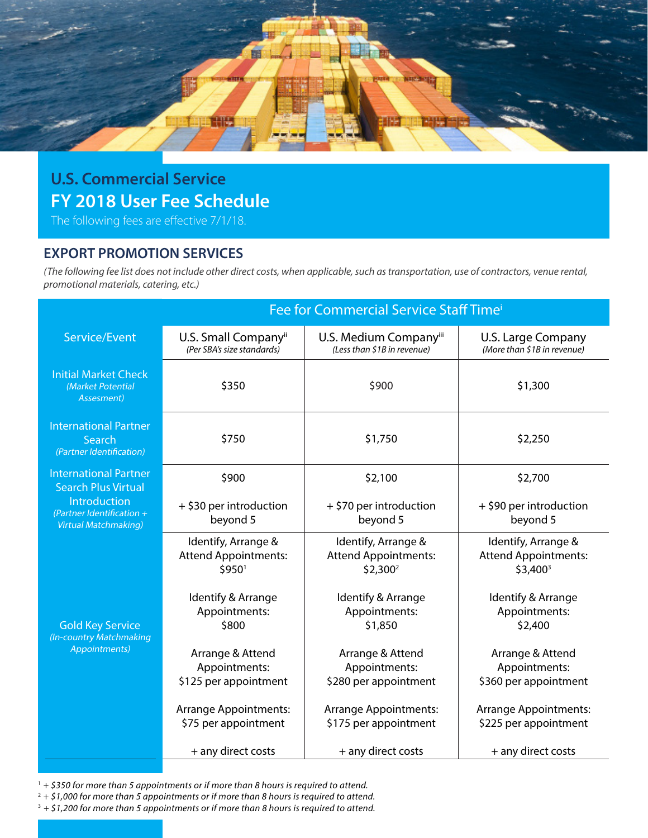

## **U.S. Commercial Service FY 2018 User Fee Schedule**

The following fees are effective 7/1/18.

## **EXPORT PROMOTION SERVICES**

*(The following fee list does not include other direct costs, when applicable, such as transportation, use of contractors, venue rental, promotional materials, catering, etc.)*

|                                                                          | Fee for Commercial Service Staff Time <sup>i</sup>             |                                                                  |                                                                  |  |
|--------------------------------------------------------------------------|----------------------------------------------------------------|------------------------------------------------------------------|------------------------------------------------------------------|--|
| Service/Event                                                            | U.S. Small Company <sup>ii</sup><br>(Per SBA's size standards) | U.S. Medium Companyiii<br>(Less than \$1B in revenue)            | U.S. Large Company<br>(More than \$1B in revenue)                |  |
| <b>Initial Market Check</b><br>(Market Potential<br>Assesment)           | \$350                                                          | \$900                                                            | \$1,300                                                          |  |
| <b>International Partner</b><br>Search<br>(Partner Identification)       | \$750                                                          | \$1,750                                                          | \$2,250                                                          |  |
| <b>International Partner</b><br><b>Search Plus Virtual</b>               | \$900                                                          | \$2,100                                                          | \$2,700                                                          |  |
| Introduction<br>(Partner Identification +<br><b>Virtual Matchmaking)</b> | + \$30 per introduction<br>beyond 5                            | + \$70 per introduction<br>beyond 5                              | + \$90 per introduction<br>beyond 5                              |  |
| <b>Gold Key Service</b><br>(In-country Matchmaking<br>Appointments)      | Identify, Arrange &<br><b>Attend Appointments:</b><br>\$9501   | Identify, Arrange &<br><b>Attend Appointments:</b><br>$$2,300^2$ | Identify, Arrange &<br><b>Attend Appointments:</b><br>$$3,400^3$ |  |
|                                                                          | Identify & Arrange<br>Appointments:<br>\$800                   | Identify & Arrange<br>Appointments:<br>\$1,850                   | Identify & Arrange<br>Appointments:<br>\$2,400                   |  |
|                                                                          | Arrange & Attend<br>Appointments:<br>\$125 per appointment     | Arrange & Attend<br>Appointments:<br>\$280 per appointment       | Arrange & Attend<br>Appointments:<br>\$360 per appointment       |  |
|                                                                          | <b>Arrange Appointments:</b><br>\$75 per appointment           | <b>Arrange Appointments:</b><br>\$175 per appointment            | Arrange Appointments:<br>\$225 per appointment                   |  |
|                                                                          | + any direct costs                                             | + any direct costs                                               | + any direct costs                                               |  |

<sup>1</sup> *+ \$350 for more than 5 appointments or if more than 8 hours is required to attend.*

<sup>2</sup> *+ \$1,000 for more than 5 appointments or if more than 8 hours is required to attend.*

3 *+ \$1,200 for more than 5 appointments or if more than 8 hours is required to attend.*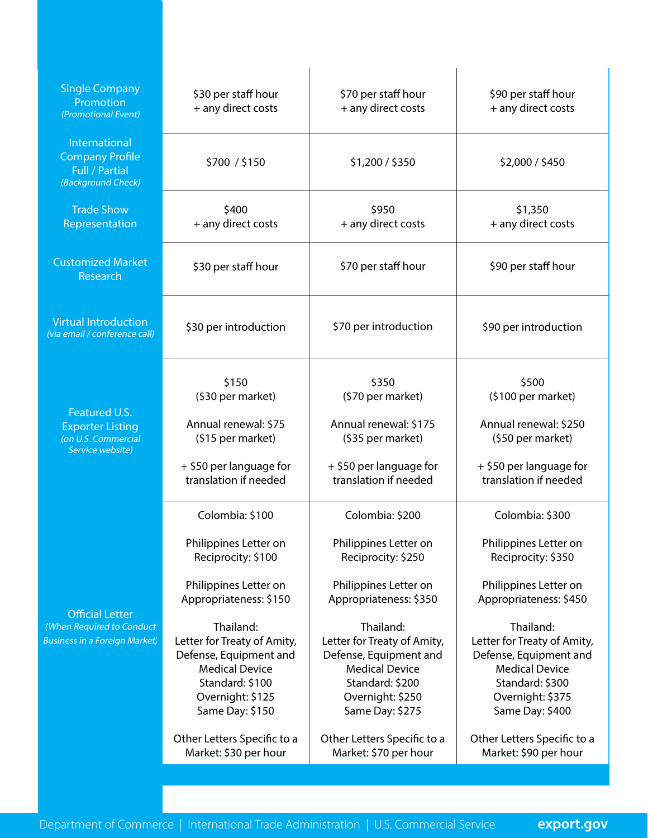| <b>Single Company</b><br>Promotion<br>(Promotional Event)                                   | \$30 per staff hour<br>+ any direct costs                                                                                                                                                                                                                                                                                          | \$70 per staff hour<br>+ any direct costs                                                                                                                                                                                                                                                                                          | \$90 per staff hour<br>+ any direct costs                                                                                                                                                                                                                                                                                          |
|---------------------------------------------------------------------------------------------|------------------------------------------------------------------------------------------------------------------------------------------------------------------------------------------------------------------------------------------------------------------------------------------------------------------------------------|------------------------------------------------------------------------------------------------------------------------------------------------------------------------------------------------------------------------------------------------------------------------------------------------------------------------------------|------------------------------------------------------------------------------------------------------------------------------------------------------------------------------------------------------------------------------------------------------------------------------------------------------------------------------------|
| International<br><b>Company Profile</b><br><b>Full / Partial</b><br>(Background Check)      | \$700 / \$150                                                                                                                                                                                                                                                                                                                      | \$1,200 / \$350                                                                                                                                                                                                                                                                                                                    | \$2,000 / \$450                                                                                                                                                                                                                                                                                                                    |
| <b>Trade Show</b><br>Representation                                                         | \$400<br>+ any direct costs                                                                                                                                                                                                                                                                                                        | \$950<br>+ any direct costs                                                                                                                                                                                                                                                                                                        | \$1,350<br>+ any direct costs                                                                                                                                                                                                                                                                                                      |
| <b>Customized Market</b><br>Research                                                        | \$30 per staff hour                                                                                                                                                                                                                                                                                                                | \$70 per staff hour                                                                                                                                                                                                                                                                                                                | \$90 per staff hour                                                                                                                                                                                                                                                                                                                |
| <b>Virtual Introduction</b><br>(via email / conference call)                                | \$30 per introduction                                                                                                                                                                                                                                                                                                              | \$70 per introduction                                                                                                                                                                                                                                                                                                              | \$90 per introduction                                                                                                                                                                                                                                                                                                              |
| Featured U.S.<br><b>Exporter Listing</b><br>(on U.S. Commercial<br>Service website)         | \$150<br>(\$30 per market)<br>Annual renewal: \$75<br>(\$15 per market)<br>+ \$50 per language for<br>translation if needed                                                                                                                                                                                                        | \$350<br>(\$70 per market)<br>Annual renewal: \$175<br>(\$35 per market)<br>+ \$50 per language for<br>translation if needed                                                                                                                                                                                                       | \$500<br>$(5100 \text{ per market})$<br>Annual renewal: \$250<br>(\$50 per market)<br>+ \$50 per language for<br>translation if needed                                                                                                                                                                                             |
| <b>Official Letter</b><br>(When Required to Conduct<br><b>Business in a Foreign Market)</b> | Colombia: \$100<br>Philippines Letter on<br>Reciprocity: \$100<br>Philippines Letter on<br>Appropriateness: \$150<br>Thailand:<br>Letter for Treaty of Amity,<br>Defense, Equipment and<br><b>Medical Device</b><br>Standard: \$100<br>Overnight: \$125<br>Same Day: \$150<br>Other Letters Specific to a<br>Market: \$30 per hour | Colombia: \$200<br>Philippines Letter on<br>Reciprocity: \$250<br>Philippines Letter on<br>Appropriateness: \$350<br>Thailand:<br>Letter for Treaty of Amity,<br>Defense, Equipment and<br><b>Medical Device</b><br>Standard: \$200<br>Overnight: \$250<br>Same Day: \$275<br>Other Letters Specific to a<br>Market: \$70 per hour | Colombia: \$300<br>Philippines Letter on<br>Reciprocity: \$350<br>Philippines Letter on<br>Appropriateness: \$450<br>Thailand:<br>Letter for Treaty of Amity,<br>Defense, Equipment and<br><b>Medical Device</b><br>Standard: \$300<br>Overnight: \$375<br>Same Day: \$400<br>Other Letters Specific to a<br>Market: \$90 per hour |